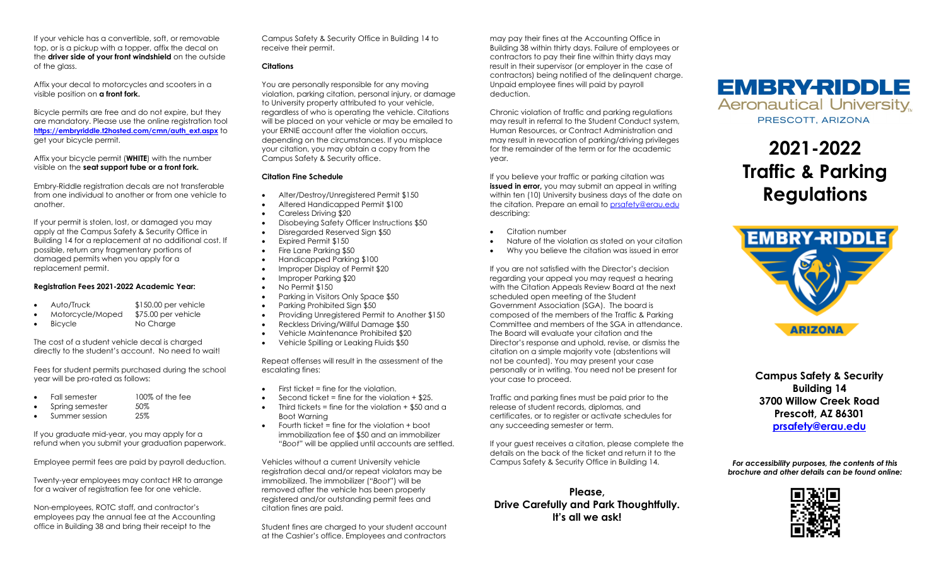If your vehicle has a convertible, soft, or removable top, or is a pickup with a topper, affix the decal on the **driver side of your front windshield** on the outside of the glass.

Affix your decal to motorcycles and scooters in a visible position on **a front fork.**

Bicycle permits are free and do not expire, but they are mandatory. Please use the online registration tool **[https://embryriddle.t2hosted.com/cmn/auth\\_ext.aspx](https://embryriddle.t2hosted.com/cmn/auth_ext.aspx)** to get your bicycle permit.

Affix your bicycle permit (**WHITE**) with the number visible on the **seat support tube or a front fork.**

Embry-Riddle registration decals are not transferable from one individual to another or from one vehicle to another.

If your permit is stolen, lost, or damaged you may apply at the Campus Safety & Security Office in Building 14 for a replacement at no additional cost. If possible, return any fragmentary portions of damaged permits when you apply for a replacement permit.

## **Registration Fees 2021-2022 Academic Year:**

- Auto/Truck \$150.00 per vehicle
- Motorcycle/Moped \$75.00 per vehicle
- Bicycle No Charge

The cost of a student vehicle decal is charged directly to the student's account. No need to wait!

Fees for student permits purchased during the school year will be pro-rated as follows:

- Fall semester 100% of the fee
- Spring semester 50%<br>
Summer session 35%
- Summer session

If you graduate mid-year, you may apply for a refund when you submit your graduation paperwork.

Employee permit fees are paid by payroll deduction.

Twenty-year employees may contact HR to arrange for a waiver of registration fee for one vehicle.

Non-employees, ROTC staff, and contractor's employees pay the annual fee at the Accounting office in Building 38 and bring their receipt to the

Campus Safety & Security Office in Building 14 to receive their permit.

# **Citations**

You are personally responsible for any moving violation, parking citation, personal injury, or damage to University property attributed to your vehicle, regardless of who is operating the vehicle. Citations will be placed on your vehicle or may be emailed to your ERNIE account after the violation occurs, depending on the circumstances. If you misplace your citation, you may obtain a copy from the Campus Safety & Security office.

# **Citation Fine Schedule**

- Alter/Destroy/Unregistered Permit \$150
- Altered Handicapped Permit \$100
- Careless Driving \$20
- Disobeying Safety Officer Instructions \$50
- Disregarded Reserved Sign \$50
- Expired Permit \$150
- Fire Lane Parking \$50
- Handicapped Parking \$100
- Improper Display of Permit \$20
- Improper Parking \$20
- No Permit \$150
- Parking in Visitors Only Space \$50
- Parking Prohibited Sign \$50
- Providing Unregistered Permit to Another \$150
- Reckless Driving/Willful Damage \$50
- Vehicle Maintenance Prohibited \$20
- Vehicle Spilling or Leaking Fluids \$50

Repeat offenses will result in the assessment of the escalating fines:

- First ticket = fine for the violation.
- Second ticket = fine for the violation  $+$  \$25.
	- Third tickets = fine for the violation  $+$  \$50 and a Boot Warning
- Fourth ticket = fine for the violation + boot immobilization fee of \$50 and an immobilizer "*Boot*" will be applied until accounts are settled.

Vehicles without a current University vehicle registration decal and/or repeat violators may be immobilized. The immobilizer ("*Boot*") will be removed after the vehicle has been properly registered and/or outstanding permit fees and citation fines are paid.

Student fines are charged to your student account at the Cashier's office. Employees and contractors may pay their fines at the Accounting Office in Building 38 within thirty days. Failure of employees or contractors to pay their fine within thirty days may result in their supervisor (or employer in the case of contractors) being notified of the delinquent charge. Unpaid employee fines will paid by payroll deduction.

Chronic violation of traffic and parking regulations may result in referral to the Student Conduct system, Human Resources, or Contract Administration and may result in revocation of parking/driving privileges for the remainder of the term or for the academic year.

If you believe your traffic or parking citation was **issued in error**, you may submit an appeal in writing within ten (10) University business days of the date on the citation. Prepare an email t[o prsafety@erau.edu](mailto:prsafety@erau.edu) describing:

- Citation number
- Nature of the violation as stated on your citation
- Why you believe the citation was issued in error

If you are not satisfied with the Director's decision regarding your appeal you may request a hearing with the Citation Appeals Review Board at the next scheduled open meeting of the Student Government Association (SGA). The board is composed of the members of the Traffic & Parking Committee and members of the SGA in attendance. The Board will evaluate your citation and the Director's response and uphold, revise, or dismiss the citation on a simple majority vote (abstentions will not be counted). You may present your case personally or in writing. You need not be present for your case to proceed.

Traffic and parking fines must be paid prior to the release of student records, diplomas, and certificates, or to register or activate schedules for any succeeding semester or term.

If your guest receives a citation, please complete the details on the back of the ticket and return it to the Campus Safety & Security Office in Building 14.

**Please, Drive Carefully and Park Thoughtfully. It's all we ask!**

**EMBRY-RIDDLE Aeronautical University** PRESCOTT, ARIZONA

> **2021-2022 Traffic & Parking Regulations**



 **Campus Safety & Security Building 14 3700 Willow Creek Road Prescott, AZ 86301 [prsafety@erau.edu](mailto:prsafety@erau.edu)**

*For accessibility purposes, the contents of this brochure and other details can be found online:*